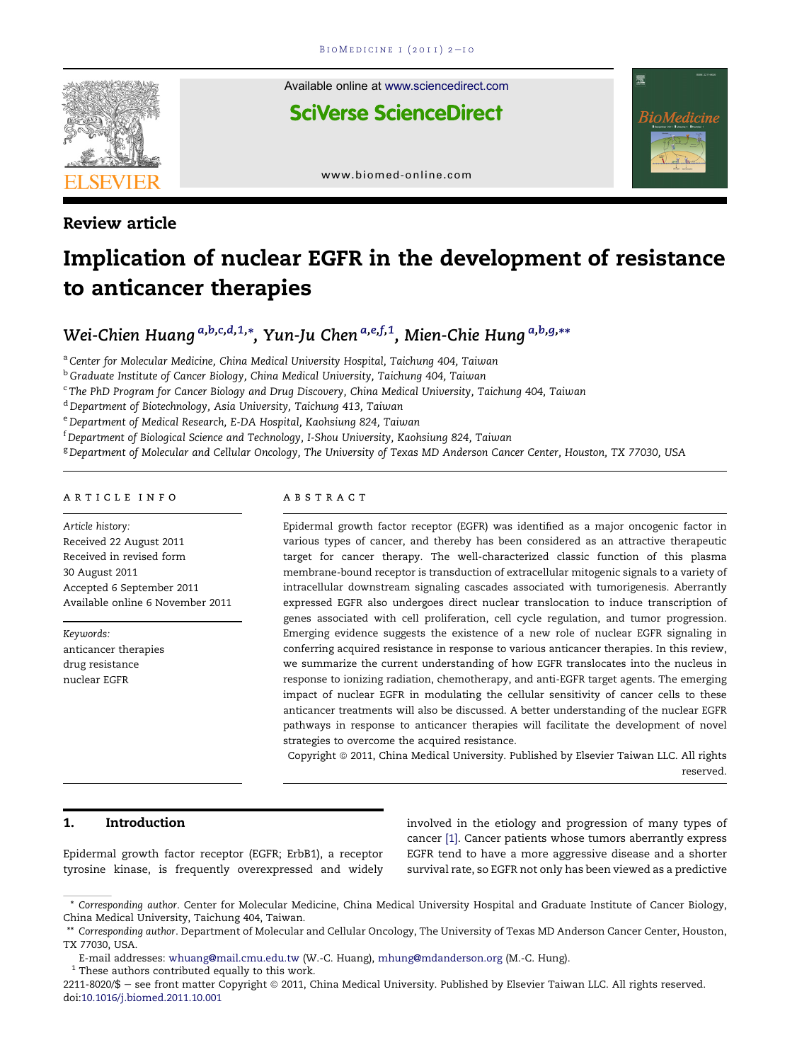

Review article

Available online at [www.sciencedirect.com](www.sciencedirect.com/science/journal/22118020)

**SciVerse ScienceDirect** 



[www.biomed-online.com](http://www.biomed-online.com)

# Implication of nuclear EGFR in the development of resistance to anticancer therapies

# Wei-Chien Huang <sup>a,b,c,d,1,</sup>\*, Yun-Ju Chen <sup>a,e,f,1</sup>, Mien-Chie Hung <sup>a,b,g,</sup>\*\*

<sup>a</sup> Center for Molecular Medicine, China Medical University Hospital, Taichung 404, Taiwan

<sup>b</sup> Graduate Institute of Cancer Biology, China Medical University, Taichung 404, Taiwan

<sup>c</sup> The PhD Program for Cancer Biology and Drug Discovery, China Medical University, Taichung 404, Taiwan

<sup>d</sup> Department of Biotechnology, Asia University, Taichung 413, Taiwan

<sup>e</sup> Department of Medical Research, E-DA Hospital, Kaohsiung 824, Taiwan

 $^{\rm f}$ Department of Biological Science and Technology, I-Shou University, Kaohsiung 824, Taiwan

<sup>g</sup> Department of Molecular and Cellular Oncology, The University of Texas MD Anderson Cancer Center, Houston, TX 77030, USA

#### article info

Article history: Received 22 August 2011 Received in revised form 30 August 2011 Accepted 6 September 2011 Available online 6 November 2011

Keywords: anticancer therapies drug resistance nuclear EGFR

# abstract

Epidermal growth factor receptor (EGFR) was identified as a major oncogenic factor in various types of cancer, and thereby has been considered as an attractive therapeutic target for cancer therapy. The well-characterized classic function of this plasma membrane-bound receptor is transduction of extracellular mitogenic signals to a variety of intracellular downstream signaling cascades associated with tumorigenesis. Aberrantly expressed EGFR also undergoes direct nuclear translocation to induce transcription of genes associated with cell proliferation, cell cycle regulation, and tumor progression. Emerging evidence suggests the existence of a new role of nuclear EGFR signaling in conferring acquired resistance in response to various anticancer therapies. In this review, we summarize the current understanding of how EGFR translocates into the nucleus in response to ionizing radiation, chemotherapy, and anti-EGFR target agents. The emerging impact of nuclear EGFR in modulating the cellular sensitivity of cancer cells to these anticancer treatments will also be discussed. A better understanding of the nuclear EGFR pathways in response to anticancer therapies will facilitate the development of novel strategies to overcome the acquired resistance.

Copyright © 2011, China Medical University. Published by Elsevier Taiwan LLC. All rights reserved.

# 1. Introduction

Epidermal growth factor receptor (EGFR; ErbB1), a receptor tyrosine kinase, is frequently overexpressed and widely involved in the etiology and progression of many types of cancer [\[1\]](#page-6-0). Cancer patients whose tumors aberrantly express EGFR tend to have a more aggressive disease and a shorter survival rate, so EGFR not only has been viewed as a predictive

 $^{\rm 1}$  These authors contributed equally to this work.

2211-8020/\$ - see front matter Copyright @ 2011, China Medical University. Published by Elsevier Taiwan LLC. All rights reserved. doi:[10.1016/j.biomed.2011.10.001](http://dx.doi.org/10.1016/j.biomed.2011.10.001)

<sup>\*</sup> Corresponding author. Center for Molecular Medicine, China Medical University Hospital and Graduate Institute of Cancer Biology, China Medical University, Taichung 404, Taiwan.

<sup>\*\*</sup> Corresponding author. Department of Molecular and Cellular Oncology, The University of Texas MD Anderson Cancer Center, Houston, TX 77030, USA.

E-mail addresses: [whuang@mail.cmu.edu.tw](mailto:whuang@mail.cmu.edu.tw) (W.-C. Huang), [mhung@mdanderson.org](mailto:mhung@mdanderson.org) (M.-C. Hung).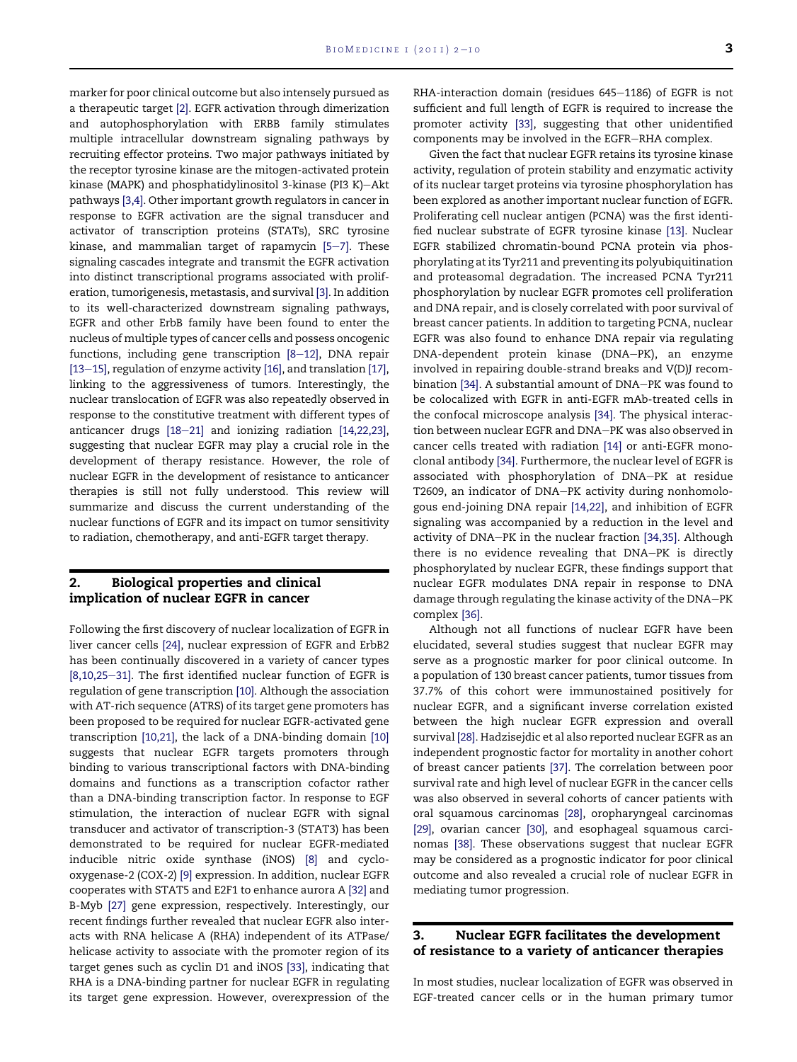marker for poor clinical outcome but also intensely pursued as a therapeutic target [\[2\].](#page-6-0) EGFR activation through dimerization and autophosphorylation with ERBB family stimulates multiple intracellular downstream signaling pathways by recruiting effector proteins. Two major pathways initiated by the receptor tyrosine kinase are the mitogen-activated protein kinase (MAPK) and phosphatidylinositol 3-kinase (PI3 K)-Akt pathways [\[3,4\]](#page-6-0). Other important growth regulators in cancer in response to EGFR activation are the signal transducer and activator of transcription proteins (STATs), SRC tyrosine kinase, and mammalian target of rapamycin  $[5-7]$  $[5-7]$ . These signaling cascades integrate and transmit the EGFR activation into distinct transcriptional programs associated with proliferation, tumorigenesis, metastasis, and survival [\[3\]](#page-6-0). In addition to its well-characterized downstream signaling pathways, EGFR and other ErbB family have been found to enter the nucleus of multiple types of cancer cells and possess oncogenic functions, including gene transcription  $[8-12]$  $[8-12]$  $[8-12]$ , DNA repair [\[13](#page-6-0)-[15\]](#page-6-0), regulation of enzyme activity [\[16\],](#page-6-0) and translation [\[17\],](#page-6-0) linking to the aggressiveness of tumors. Interestingly, the nuclear translocation of EGFR was also repeatedly observed in response to the constitutive treatment with different types of anticancer drugs  $[18-21]$  $[18-21]$  $[18-21]$  and ionizing radiation  $[14,22,23]$ , suggesting that nuclear EGFR may play a crucial role in the development of therapy resistance. However, the role of nuclear EGFR in the development of resistance to anticancer therapies is still not fully understood. This review will summarize and discuss the current understanding of the nuclear functions of EGFR and its impact on tumor sensitivity to radiation, chemotherapy, and anti-EGFR target therapy.

# 2. Biological properties and clinical implication of nuclear EGFR in cancer

Following the first discovery of nuclear localization of EGFR in liver cancer cells [\[24\]](#page-6-0), nuclear expression of EGFR and ErbB2 has been continually discovered in a variety of cancer types  $[8,10,25-31]$  $[8,10,25-31]$ . The first identified nuclear function of EGFR is regulation of gene transcription [\[10\]](#page-6-0). Although the association with AT-rich sequence (ATRS) of its target gene promoters has been proposed to be required for nuclear EGFR-activated gene transcription [\[10,21\],](#page-6-0) the lack of a DNA-binding domain [\[10\]](#page-6-0) suggests that nuclear EGFR targets promoters through binding to various transcriptional factors with DNA-binding domains and functions as a transcription cofactor rather than a DNA-binding transcription factor. In response to EGF stimulation, the interaction of nuclear EGFR with signal transducer and activator of transcription-3 (STAT3) has been demonstrated to be required for nuclear EGFR-mediated inducible nitric oxide synthase (iNOS) [\[8\]](#page-6-0) and cyclooxygenase-2 (COX-2) [\[9\]](#page-6-0) expression. In addition, nuclear EGFR cooperates with STAT5 and E2F1 to enhance aurora A [\[32\]](#page-7-0) and B-Myb [\[27\]](#page-6-0) gene expression, respectively. Interestingly, our recent findings further revealed that nuclear EGFR also interacts with RNA helicase A (RHA) independent of its ATPase/ helicase activity to associate with the promoter region of its target genes such as cyclin D1 and iNOS [\[33\]](#page-7-0), indicating that RHA is a DNA-binding partner for nuclear EGFR in regulating its target gene expression. However, overexpression of the

RHA-interaction domain (residues 645-1186) of EGFR is not sufficient and full length of EGFR is required to increase the promoter activity [\[33\],](#page-7-0) suggesting that other unidentified components may be involved in the EGFR-RHA complex.

Given the fact that nuclear EGFR retains its tyrosine kinase activity, regulation of protein stability and enzymatic activity of its nuclear target proteins via tyrosine phosphorylation has been explored as another important nuclear function of EGFR. Proliferating cell nuclear antigen (PCNA) was the first identified nuclear substrate of EGFR tyrosine kinase [\[13\].](#page-6-0) Nuclear EGFR stabilized chromatin-bound PCNA protein via phosphorylating at its Tyr211 and preventing its polyubiquitination and proteasomal degradation. The increased PCNA Tyr211 phosphorylation by nuclear EGFR promotes cell proliferation and DNA repair, and is closely correlated with poor survival of breast cancer patients. In addition to targeting PCNA, nuclear EGFR was also found to enhance DNA repair via regulating DNA-dependent protein kinase (DNA-PK), an enzyme involved in repairing double-strand breaks and V(D)J recom-bination [\[34\]](#page-7-0). A substantial amount of DNA-PK was found to be colocalized with EGFR in anti-EGFR mAb-treated cells in the confocal microscope analysis [\[34\]](#page-7-0). The physical interaction between nuclear EGFR and DNA-PK was also observed in cancer cells treated with radiation [\[14\]](#page-6-0) or anti-EGFR monoclonal antibody [\[34\]](#page-7-0). Furthermore, the nuclear level of EGFR is associated with phosphorylation of DNA-PK at residue T2609, an indicator of DNA-PK activity during nonhomologous end-joining DNA repair [\[14,22\],](#page-6-0) and inhibition of EGFR signaling was accompanied by a reduction in the level and activity of DNA-PK in the nuclear fraction [\[34,35\]](#page-7-0). Although there is no evidence revealing that DNA-PK is directly phosphorylated by nuclear EGFR, these findings support that nuclear EGFR modulates DNA repair in response to DNA damage through regulating the kinase activity of the DNA-PK complex [\[36\].](#page-7-0)

Although not all functions of nuclear EGFR have been elucidated, several studies suggest that nuclear EGFR may serve as a prognostic marker for poor clinical outcome. In a population of 130 breast cancer patients, tumor tissues from 37.7% of this cohort were immunostained positively for nuclear EGFR, and a significant inverse correlation existed between the high nuclear EGFR expression and overall survival [\[28\]](#page-6-0). Hadzisejdic et al also reported nuclear EGFR as an independent prognostic factor for mortality in another cohort of breast cancer patients [\[37\].](#page-7-0) The correlation between poor survival rate and high level of nuclear EGFR in the cancer cells was also observed in several cohorts of cancer patients with oral squamous carcinomas [\[28\],](#page-6-0) oropharyngeal carcinomas [\[29\],](#page-6-0) ovarian cancer [\[30\]](#page-6-0), and esophageal squamous carcinomas [\[38\]](#page-7-0). These observations suggest that nuclear EGFR may be considered as a prognostic indicator for poor clinical outcome and also revealed a crucial role of nuclear EGFR in mediating tumor progression.

# 3. Nuclear EGFR facilitates the development of resistance to a variety of anticancer therapies

In most studies, nuclear localization of EGFR was observed in EGF-treated cancer cells or in the human primary tumor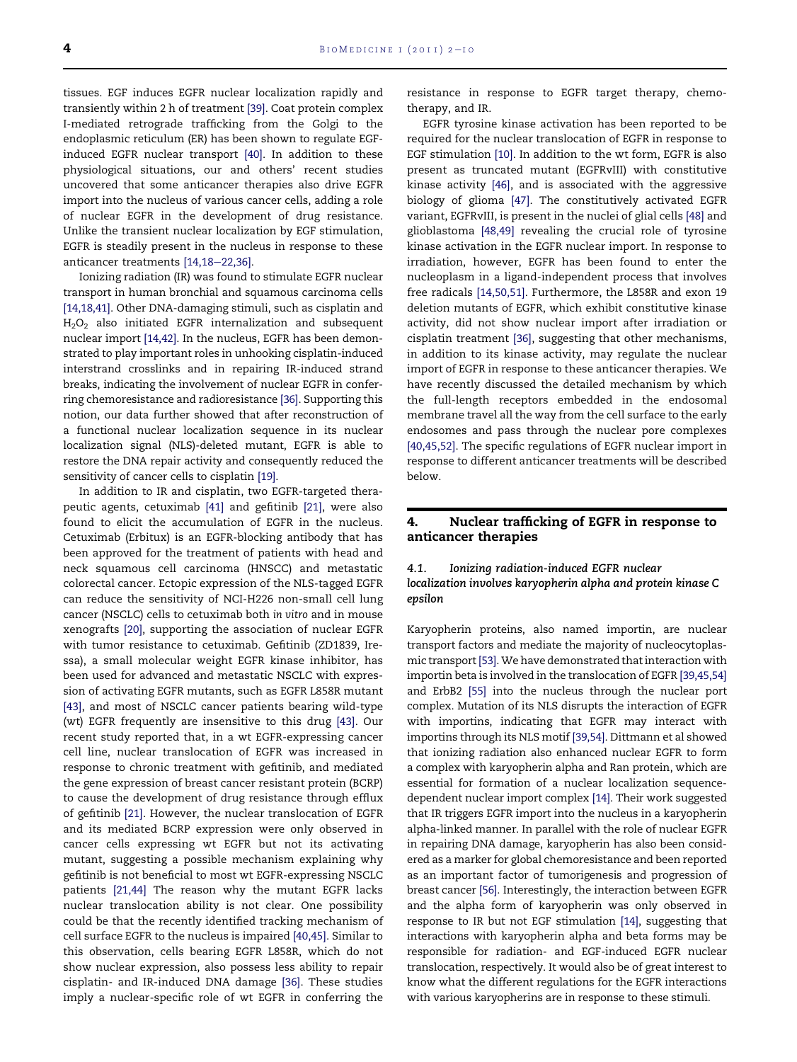tissues. EGF induces EGFR nuclear localization rapidly and transiently within 2 h of treatment [\[39\]](#page-7-0). Coat protein complex I-mediated retrograde trafficking from the Golgi to the endoplasmic reticulum (ER) has been shown to regulate EGFinduced EGFR nuclear transport [\[40\]](#page-7-0). In addition to these physiological situations, our and others' recent studies uncovered that some anticancer therapies also drive EGFR import into the nucleus of various cancer cells, adding a role of nuclear EGFR in the development of drug resistance. Unlike the transient nuclear localization by EGF stimulation, EGFR is steadily present in the nucleus in response to these anticancer treatments  $[14, 18-22, 36]$ .

Ionizing radiation (IR) was found to stimulate EGFR nuclear transport in human bronchial and squamous carcinoma cells [\[14,18,41\].](#page-6-0) Other DNA-damaging stimuli, such as cisplatin and H2O2 also initiated EGFR internalization and subsequent nuclear import [\[14,42\].](#page-6-0) In the nucleus, EGFR has been demonstrated to play important roles in unhooking cisplatin-induced interstrand crosslinks and in repairing IR-induced strand breaks, indicating the involvement of nuclear EGFR in conferring chemoresistance and radioresistance [\[36\]](#page-7-0). Supporting this notion, our data further showed that after reconstruction of a functional nuclear localization sequence in its nuclear localization signal (NLS)-deleted mutant, EGFR is able to restore the DNA repair activity and consequently reduced the sensitivity of cancer cells to cisplatin [\[19\]](#page-6-0).

In addition to IR and cisplatin, two EGFR-targeted therapeutic agents, cetuximab [\[41\]](#page-7-0) and gefitinib [\[21\],](#page-6-0) were also found to elicit the accumulation of EGFR in the nucleus. Cetuximab (Erbitux) is an EGFR-blocking antibody that has been approved for the treatment of patients with head and neck squamous cell carcinoma (HNSCC) and metastatic colorectal cancer. Ectopic expression of the NLS-tagged EGFR can reduce the sensitivity of NCI-H226 non-small cell lung cancer (NSCLC) cells to cetuximab both in vitro and in mouse xenografts [\[20\]](#page-6-0), supporting the association of nuclear EGFR with tumor resistance to cetuximab. Gefitinib (ZD1839, Iressa), a small molecular weight EGFR kinase inhibitor, has been used for advanced and metastatic NSCLC with expression of activating EGFR mutants, such as EGFR L858R mutant [\[43\]](#page-7-0), and most of NSCLC cancer patients bearing wild-type (wt) EGFR frequently are insensitive to this drug [\[43\]](#page-7-0). Our recent study reported that, in a wt EGFR-expressing cancer cell line, nuclear translocation of EGFR was increased in response to chronic treatment with gefitinib, and mediated the gene expression of breast cancer resistant protein (BCRP) to cause the development of drug resistance through efflux of gefitinib [\[21\].](#page-6-0) However, the nuclear translocation of EGFR and its mediated BCRP expression were only observed in cancer cells expressing wt EGFR but not its activating mutant, suggesting a possible mechanism explaining why gefitinib is not beneficial to most wt EGFR-expressing NSCLC patients [\[21,44\]](#page-6-0) The reason why the mutant EGFR lacks nuclear translocation ability is not clear. One possibility could be that the recently identified tracking mechanism of cell surface EGFR to the nucleus is impaired [\[40,45\]](#page-7-0). Similar to this observation, cells bearing EGFR L858R, which do not show nuclear expression, also possess less ability to repair cisplatin- and IR-induced DNA damage [\[36\].](#page-7-0) These studies imply a nuclear-specific role of wt EGFR in conferring the

resistance in response to EGFR target therapy, chemotherapy, and IR.

EGFR tyrosine kinase activation has been reported to be required for the nuclear translocation of EGFR in response to EGF stimulation [\[10\].](#page-6-0) In addition to the wt form, EGFR is also present as truncated mutant (EGFRvIII) with constitutive kinase activity [\[46\],](#page-7-0) and is associated with the aggressive biology of glioma [\[47\]](#page-7-0). The constitutively activated EGFR variant, EGFRvIII, is present in the nuclei of glial cells [\[48\]](#page-7-0) and glioblastoma [\[48,49\]](#page-7-0) revealing the crucial role of tyrosine kinase activation in the EGFR nuclear import. In response to irradiation, however, EGFR has been found to enter the nucleoplasm in a ligand-independent process that involves free radicals [\[14,50,51\].](#page-6-0) Furthermore, the L858R and exon 19 deletion mutants of EGFR, which exhibit constitutive kinase activity, did not show nuclear import after irradiation or cisplatin treatment [\[36\],](#page-7-0) suggesting that other mechanisms, in addition to its kinase activity, may regulate the nuclear import of EGFR in response to these anticancer therapies. We have recently discussed the detailed mechanism by which the full-length receptors embedded in the endosomal membrane travel all the way from the cell surface to the early endosomes and pass through the nuclear pore complexes [\[40,45,52\].](#page-7-0) The specific regulations of EGFR nuclear import in response to different anticancer treatments will be described below.

# 4. Nuclear trafficking of EGFR in response to anticancer therapies

#### 4.1. Ionizing radiation-induced EGFR nuclear localization involves karyopherin alpha and protein kinase C epsilon

Karyopherin proteins, also named importin, are nuclear transport factors and mediate the majority of nucleocytoplasmic transport[\[53\]](#page-7-0).We have demonstrated that interaction with importin beta is involved in the translocation of EGFR [\[39,45,54\]](#page-7-0) and ErbB2 [\[55\]](#page-7-0) into the nucleus through the nuclear port complex. Mutation of its NLS disrupts the interaction of EGFR with importins, indicating that EGFR may interact with importins through its NLS motif [\[39,54\]](#page-7-0). Dittmann et al showed that ionizing radiation also enhanced nuclear EGFR to form a complex with karyopherin alpha and Ran protein, which are essential for formation of a nuclear localization sequencedependent nuclear import complex [\[14\]](#page-6-0). Their work suggested that IR triggers EGFR import into the nucleus in a karyopherin alpha-linked manner. In parallel with the role of nuclear EGFR in repairing DNA damage, karyopherin has also been considered as a marker for global chemoresistance and been reported as an important factor of tumorigenesis and progression of breast cancer [\[56\].](#page-7-0) Interestingly, the interaction between EGFR and the alpha form of karyopherin was only observed in response to IR but not EGF stimulation [\[14\]](#page-6-0), suggesting that interactions with karyopherin alpha and beta forms may be responsible for radiation- and EGF-induced EGFR nuclear translocation, respectively. It would also be of great interest to know what the different regulations for the EGFR interactions with various karyopherins are in response to these stimuli.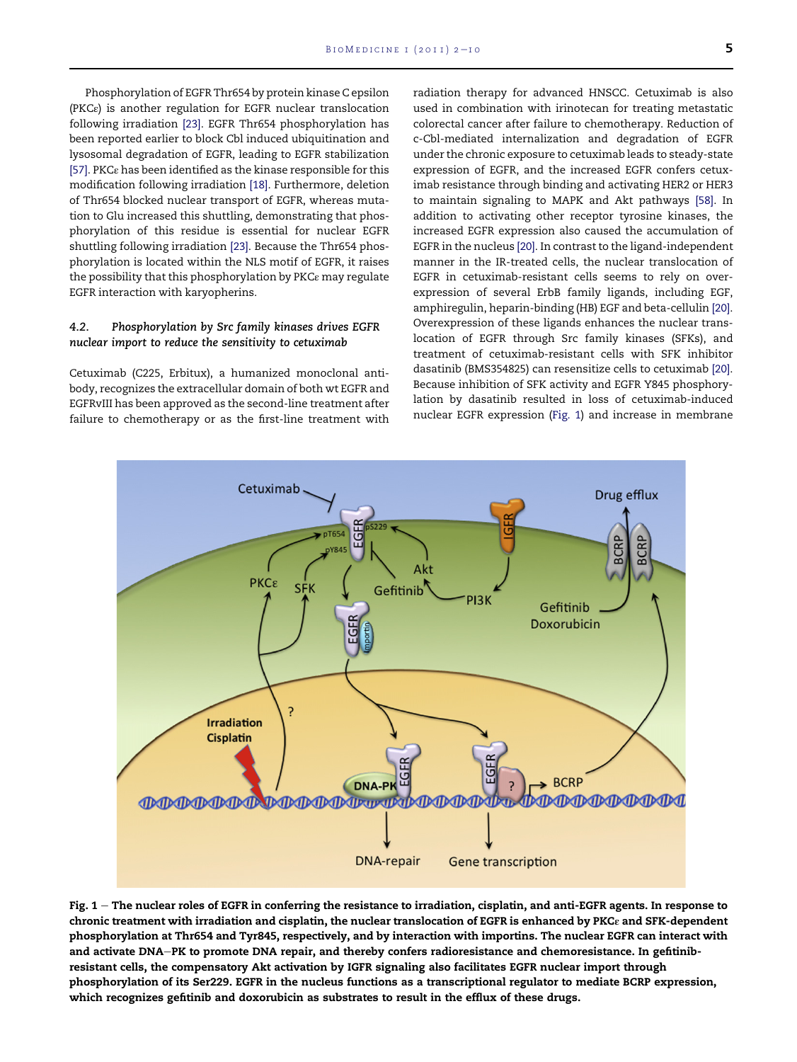<span id="page-3-0"></span>Phosphorylation of EGFR Thr654 by protein kinase C epsilon (PKCε) is another regulation for EGFR nuclear translocation following irradiation [\[23\]](#page-6-0). EGFR Thr654 phosphorylation has been reported earlier to block Cbl induced ubiquitination and lysosomal degradation of EGFR, leading to EGFR stabilization [\[57\].](#page-7-0) PKCε has been identified as the kinase responsible for this modification following irradiation [\[18\]](#page-6-0). Furthermore, deletion of Thr654 blocked nuclear transport of EGFR, whereas mutation to Glu increased this shuttling, demonstrating that phosphorylation of this residue is essential for nuclear EGFR shuttling following irradiation [\[23\].](#page-6-0) Because the Thr654 phosphorylation is located within the NLS motif of EGFR, it raises the possibility that this phosphorylation by PKCε may regulate EGFR interaction with karyopherins.

#### 4.2. Phosphorylation by Src family kinases drives EGFR nuclear import to reduce the sensitivity to cetuximab

Cetuximab (C225, Erbitux), a humanized monoclonal antibody, recognizes the extracellular domain of both wt EGFR and EGFRvIII has been approved as the second-line treatment after failure to chemotherapy or as the first-line treatment with

radiation therapy for advanced HNSCC. Cetuximab is also used in combination with irinotecan for treating metastatic colorectal cancer after failure to chemotherapy. Reduction of c-Cbl-mediated internalization and degradation of EGFR under the chronic exposure to cetuximab leads to steady-state expression of EGFR, and the increased EGFR confers cetuximab resistance through binding and activating HER2 or HER3 to maintain signaling to MAPK and Akt pathways [\[58\].](#page-7-0) In addition to activating other receptor tyrosine kinases, the increased EGFR expression also caused the accumulation of EGFR in the nucleus [\[20\]](#page-6-0). In contrast to the ligand-independent manner in the IR-treated cells, the nuclear translocation of EGFR in cetuximab-resistant cells seems to rely on overexpression of several ErbB family ligands, including EGF, amphiregulin, heparin-binding (HB) EGF and beta-cellulin [\[20\].](#page-6-0) Overexpression of these ligands enhances the nuclear translocation of EGFR through Src family kinases (SFKs), and treatment of cetuximab-resistant cells with SFK inhibitor dasatinib (BMS354825) can resensitize cells to cetuximab [\[20\].](#page-6-0) Because inhibition of SFK activity and EGFR Y845 phosphorylation by dasatinib resulted in loss of cetuximab-induced nuclear EGFR expression (Fig. 1) and increase in membrane



Fig.  $1$  – The nuclear roles of EGFR in conferring the resistance to irradiation, cisplatin, and anti-EGFR agents. In response to chronic treatment with irradiation and cisplatin, the nuclear translocation of EGFR is enhanced by PKCε and SFK-dependent phosphorylation at Thr654 and Tyr845, respectively, and by interaction with importins. The nuclear EGFR can interact with and activate DNA-PK to promote DNA repair, and thereby confers radioresistance and chemoresistance. In gefitinibresistant cells, the compensatory Akt activation by IGFR signaling also facilitates EGFR nuclear import through phosphorylation of its Ser229. EGFR in the nucleus functions as a transcriptional regulator to mediate BCRP expression, which recognizes gefitinib and doxorubicin as substrates to result in the efflux of these drugs.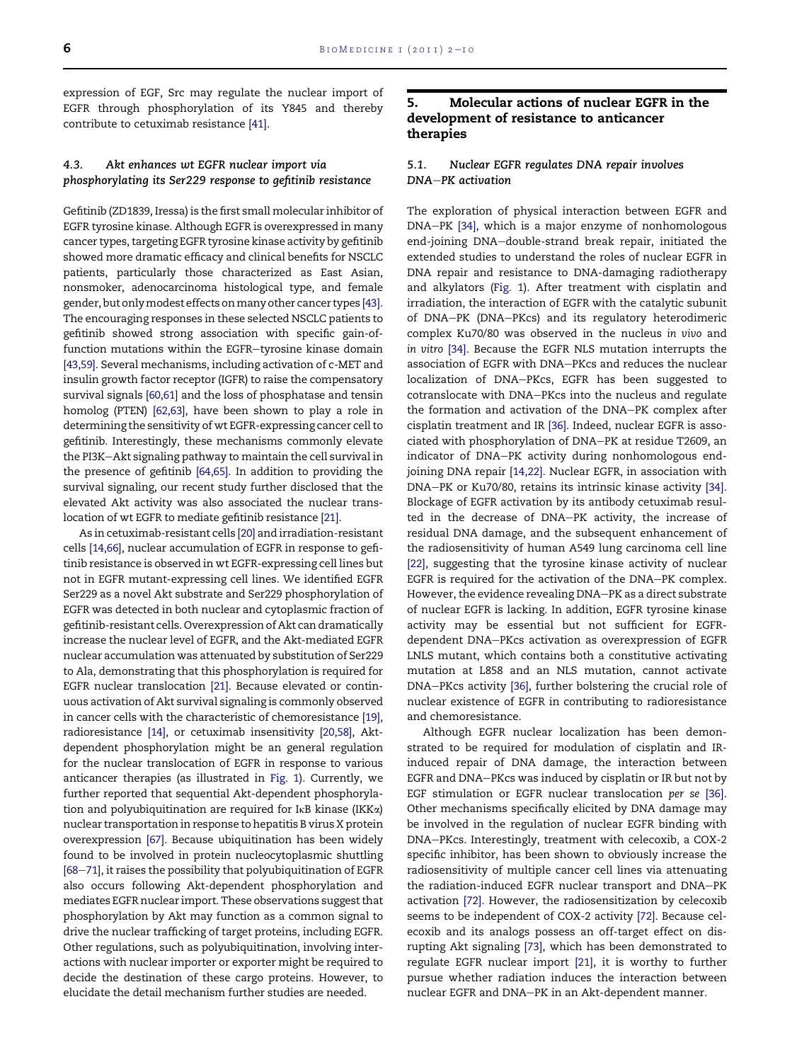expression of EGF, Src may regulate the nuclear import of EGFR through phosphorylation of its Y845 and thereby contribute to cetuximab resistance [\[41\].](#page-7-0)

# 4.3. Akt enhances wt EGFR nuclear import via phosphorylating its Ser229 response to gefitinib resistance

Gefitinib (ZD1839, Iressa) is the first small molecular inhibitor of EGFR tyrosine kinase. Although EGFR is overexpressed in many cancer types, targeting EGFR tyrosine kinase activity by gefitinib showed more dramatic efficacy and clinical benefits for NSCLC patients, particularly those characterized as East Asian, nonsmoker, adenocarcinoma histological type, and female gender, but onlymodest effects onmany other cancer types [\[43\]](#page-7-0). The encouraging responses in these selected NSCLC patients to gefitinib showed strong association with specific gain-offunction mutations within the EGFR-tyrosine kinase domain [\[43,59\]](#page-7-0). Several mechanisms, including activation of c-MET and insulin growth factor receptor (IGFR) to raise the compensatory survival signals [\[60,61\]](#page-7-0) and the loss of phosphatase and tensin homolog (PTEN) [\[62,63\]](#page-7-0), have been shown to play a role in determining the sensitivity of wt EGFR-expressing cancer cell to gefitinib. Interestingly, these mechanisms commonly elevate the PI3K-Akt signaling pathway to maintain the cell survival in the presence of gefitinib [\[64,65\].](#page-7-0) In addition to providing the survival signaling, our recent study further disclosed that the elevated Akt activity was also associated the nuclear translocation of wt EGFR to mediate gefitinib resistance [\[21\]](#page-6-0).

As in cetuximab-resistant cells [\[20\]](#page-6-0) and irradiation-resistant cells [\[14,66\],](#page-6-0) nuclear accumulation of EGFR in response to gefitinib resistance is observed in wt EGFR-expressing cell lines but not in EGFR mutant-expressing cell lines. We identified EGFR Ser229 as a novel Akt substrate and Ser229 phosphorylation of EGFR was detected in both nuclear and cytoplasmic fraction of gefitinib-resistant cells. Overexpression of Akt can dramatically increase the nuclear level of EGFR, and the Akt-mediated EGFR nuclear accumulation was attenuated by substitution of Ser229 to Ala, demonstrating that this phosphorylation is required for EGFR nuclear translocation [\[21\].](#page-6-0) Because elevated or continuous activation of Akt survival signaling is commonly observed in cancer cells with the characteristic of chemoresistance [\[19\]](#page-6-0), radioresistance [\[14\],](#page-6-0) or cetuximab insensitivity [\[20,58\]](#page-6-0), Aktdependent phosphorylation might be an general regulation for the nuclear translocation of EGFR in response to various anticancer therapies (as illustrated in [Fig. 1\)](#page-3-0). Currently, we further reported that sequential Akt-dependent phosphorylation and polyubiquitination are required for  $I \kappa B$  kinase (IKK $\alpha$ ) nuclear transportation in response to hepatitis B virus X protein overexpression [\[67\].](#page-8-0) Because ubiquitination has been widely found to be involved in protein nucleocytoplasmic shuttling [\[68](#page-8-0)-[71\]](#page-8-0), it raises the possibility that polyubiquitination of EGFR also occurs following Akt-dependent phosphorylation and mediates EGFR nuclear import. These observations suggest that phosphorylation by Akt may function as a common signal to drive the nuclear trafficking of target proteins, including EGFR. Other regulations, such as polyubiquitination, involving interactions with nuclear importer or exporter might be required to decide the destination of these cargo proteins. However, to elucidate the detail mechanism further studies are needed.

# 5. Molecular actions of nuclear EGFR in the development of resistance to anticancer therapies

#### 5.1. Nuclear EGFR regulates DNA repair involves DNA-PK activation

The exploration of physical interaction between EGFR and DNA-PK [\[34\],](#page-7-0) which is a major enzyme of nonhomologous end-joining DNA-double-strand break repair, initiated the extended studies to understand the roles of nuclear EGFR in DNA repair and resistance to DNA-damaging radiotherapy and alkylators [\(Fig. 1](#page-3-0)). After treatment with cisplatin and irradiation, the interaction of EGFR with the catalytic subunit of DNA-PK (DNA-PKcs) and its regulatory heterodimeric complex Ku70/80 was observed in the nucleus in vivo and in vitro [\[34\].](#page-7-0) Because the EGFR NLS mutation interrupts the association of EGFR with DNA-PKcs and reduces the nuclear localization of DNA-PKcs, EGFR has been suggested to cotranslocate with DNA-PKcs into the nucleus and regulate the formation and activation of the DNA-PK complex after cisplatin treatment and IR [\[36\]](#page-7-0). Indeed, nuclear EGFR is associated with phosphorylation of DNA-PK at residue T2609, an indicator of DNA-PK activity during nonhomologous endjoining DNA repair [\[14,22\].](#page-6-0) Nuclear EGFR, in association with DNA-PK or Ku70/80, retains its intrinsic kinase activity [\[34\]](#page-7-0). Blockage of EGFR activation by its antibody cetuximab resulted in the decrease of DNA-PK activity, the increase of residual DNA damage, and the subsequent enhancement of the radiosensitivity of human A549 lung carcinoma cell line [\[22\]](#page-6-0), suggesting that the tyrosine kinase activity of nuclear EGFR is required for the activation of the DNA-PK complex. However, the evidence revealing DNA-PK as a direct substrate of nuclear EGFR is lacking. In addition, EGFR tyrosine kinase activity may be essential but not sufficient for EGFRdependent DNA-PKcs activation as overexpression of EGFR LNLS mutant, which contains both a constitutive activating mutation at L858 and an NLS mutation, cannot activate DNA-PKcs activity [\[36\]](#page-7-0), further bolstering the crucial role of nuclear existence of EGFR in contributing to radioresistance and chemoresistance.

Although EGFR nuclear localization has been demonstrated to be required for modulation of cisplatin and IRinduced repair of DNA damage, the interaction between EGFR and DNA-PKcs was induced by cisplatin or IR but not by EGF stimulation or EGFR nuclear translocation per se [\[36\]](#page-7-0). Other mechanisms specifically elicited by DNA damage may be involved in the regulation of nuclear EGFR binding with DNA-PKcs. Interestingly, treatment with celecoxib, a COX-2 specific inhibitor, has been shown to obviously increase the radiosensitivity of multiple cancer cell lines via attenuating the radiation-induced EGFR nuclear transport and DNA-PK activation [\[72\]](#page-8-0). However, the radiosensitization by celecoxib seems to be independent of COX-2 activity [\[72\].](#page-8-0) Because celecoxib and its analogs possess an off-target effect on disrupting Akt signaling [\[73\],](#page-8-0) which has been demonstrated to regulate EGFR nuclear import [\[21\]](#page-6-0), it is worthy to further pursue whether radiation induces the interaction between nuclear EGFR and DNA-PK in an Akt-dependent manner.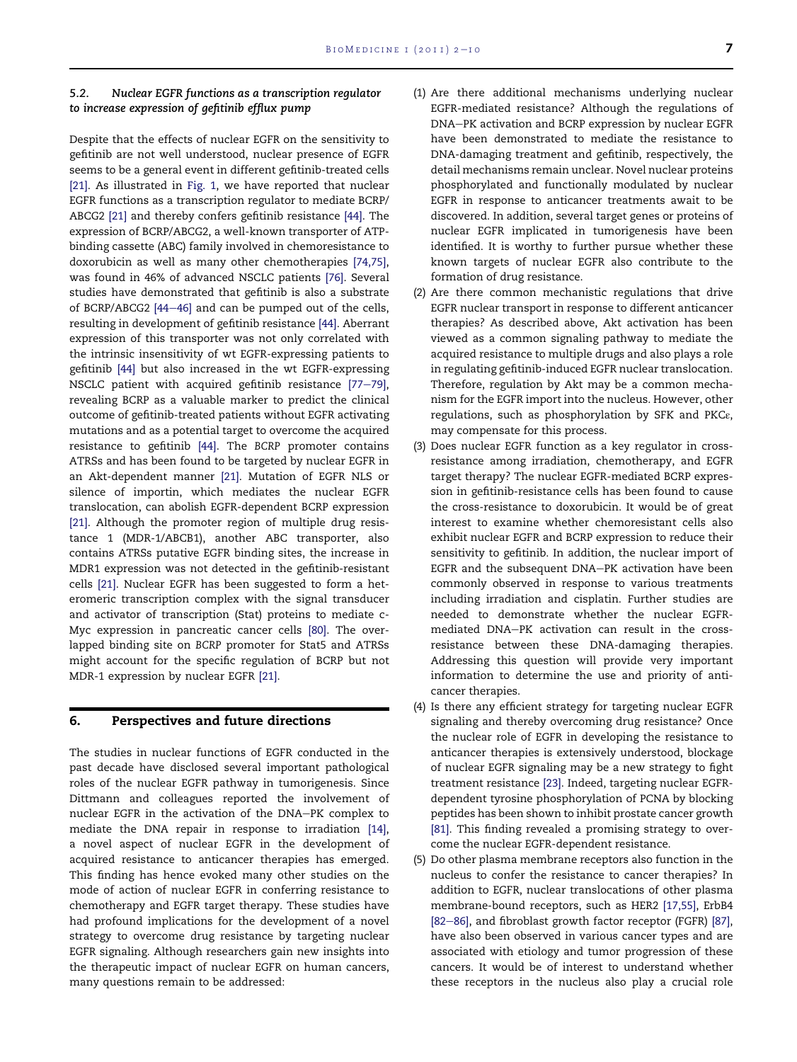# 5.2. Nuclear EGFR functions as a transcription regulator to increase expression of gefitinib efflux pump

Despite that the effects of nuclear EGFR on the sensitivity to gefitinib are not well understood, nuclear presence of EGFR seems to be a general event in different gefitinib-treated cells [\[21\].](#page-6-0) As illustrated in [Fig. 1,](#page-3-0) we have reported that nuclear EGFR functions as a transcription regulator to mediate BCRP/ ABCG2 [\[21\]](#page-6-0) and thereby confers gefitinib resistance [\[44\].](#page-7-0) The expression of BCRP/ABCG2, a well-known transporter of ATPbinding cassette (ABC) family involved in chemoresistance to doxorubicin as well as many other chemotherapies [\[74,75\],](#page-8-0) was found in 46% of advanced NSCLC patients [\[76\].](#page-8-0) Several studies have demonstrated that gefitinib is also a substrate of BCRP/ABCG2  $[44-46]$  $[44-46]$  $[44-46]$  and can be pumped out of the cells, resulting in development of gefitinib resistance [\[44\].](#page-7-0) Aberrant expression of this transporter was not only correlated with the intrinsic insensitivity of wt EGFR-expressing patients to gefitinib [\[44\]](#page-7-0) but also increased in the wt EGFR-expressing NSCLC patient with acquired gefitinib resistance  $[77-79]$  $[77-79]$ , revealing BCRP as a valuable marker to predict the clinical outcome of gefitinib-treated patients without EGFR activating mutations and as a potential target to overcome the acquired resistance to gefitinib [\[44\].](#page-7-0) The BCRP promoter contains ATRSs and has been found to be targeted by nuclear EGFR in an Akt-dependent manner [\[21\].](#page-6-0) Mutation of EGFR NLS or silence of importin, which mediates the nuclear EGFR translocation, can abolish EGFR-dependent BCRP expression [\[21\].](#page-6-0) Although the promoter region of multiple drug resistance 1 (MDR-1/ABCB1), another ABC transporter, also contains ATRSs putative EGFR binding sites, the increase in MDR1 expression was not detected in the gefitinib-resistant cells [\[21\].](#page-6-0) Nuclear EGFR has been suggested to form a heteromeric transcription complex with the signal transducer and activator of transcription (Stat) proteins to mediate c-Myc expression in pancreatic cancer cells [\[80\]](#page-8-0). The overlapped binding site on BCRP promoter for Stat5 and ATRSs might account for the specific regulation of BCRP but not MDR-1 expression by nuclear EGFR [\[21\]](#page-6-0).

#### 6. Perspectives and future directions

The studies in nuclear functions of EGFR conducted in the past decade have disclosed several important pathological roles of the nuclear EGFR pathway in tumorigenesis. Since Dittmann and colleagues reported the involvement of nuclear EGFR in the activation of the DNA-PK complex to mediate the DNA repair in response to irradiation [\[14\],](#page-6-0) a novel aspect of nuclear EGFR in the development of acquired resistance to anticancer therapies has emerged. This finding has hence evoked many other studies on the mode of action of nuclear EGFR in conferring resistance to chemotherapy and EGFR target therapy. These studies have had profound implications for the development of a novel strategy to overcome drug resistance by targeting nuclear EGFR signaling. Although researchers gain new insights into the therapeutic impact of nuclear EGFR on human cancers, many questions remain to be addressed:

- (1) Are there additional mechanisms underlying nuclear EGFR-mediated resistance? Although the regulations of DNA-PK activation and BCRP expression by nuclear EGFR have been demonstrated to mediate the resistance to DNA-damaging treatment and gefitinib, respectively, the detail mechanisms remain unclear. Novel nuclear proteins phosphorylated and functionally modulated by nuclear EGFR in response to anticancer treatments await to be discovered. In addition, several target genes or proteins of nuclear EGFR implicated in tumorigenesis have been identified. It is worthy to further pursue whether these known targets of nuclear EGFR also contribute to the formation of drug resistance.
- (2) Are there common mechanistic regulations that drive EGFR nuclear transport in response to different anticancer therapies? As described above, Akt activation has been viewed as a common signaling pathway to mediate the acquired resistance to multiple drugs and also plays a role in regulating gefitinib-induced EGFR nuclear translocation. Therefore, regulation by Akt may be a common mechanism for the EGFR import into the nucleus. However, other regulations, such as phosphorylation by SFK and PKCε, may compensate for this process.
- (3) Does nuclear EGFR function as a key regulator in crossresistance among irradiation, chemotherapy, and EGFR target therapy? The nuclear EGFR-mediated BCRP expression in gefitinib-resistance cells has been found to cause the cross-resistance to doxorubicin. It would be of great interest to examine whether chemoresistant cells also exhibit nuclear EGFR and BCRP expression to reduce their sensitivity to gefitinib. In addition, the nuclear import of EGFR and the subsequent DNA-PK activation have been commonly observed in response to various treatments including irradiation and cisplatin. Further studies are needed to demonstrate whether the nuclear EGFRmediated DNA-PK activation can result in the crossresistance between these DNA-damaging therapies. Addressing this question will provide very important information to determine the use and priority of anticancer therapies.
- (4) Is there any efficient strategy for targeting nuclear EGFR signaling and thereby overcoming drug resistance? Once the nuclear role of EGFR in developing the resistance to anticancer therapies is extensively understood, blockage of nuclear EGFR signaling may be a new strategy to fight treatment resistance [\[23\].](#page-6-0) Indeed, targeting nuclear EGFRdependent tyrosine phosphorylation of PCNA by blocking peptides has been shown to inhibit prostate cancer growth [\[81\].](#page-8-0) This finding revealed a promising strategy to overcome the nuclear EGFR-dependent resistance.
- (5) Do other plasma membrane receptors also function in the nucleus to confer the resistance to cancer therapies? In addition to EGFR, nuclear translocations of other plasma membrane-bound receptors, such as HER2 [\[17,55\]](#page-6-0), ErbB4 [\[82](#page-8-0)-[86\],](#page-8-0) and fibroblast growth factor receptor (FGFR) [\[87\],](#page-8-0) have also been observed in various cancer types and are associated with etiology and tumor progression of these cancers. It would be of interest to understand whether these receptors in the nucleus also play a crucial role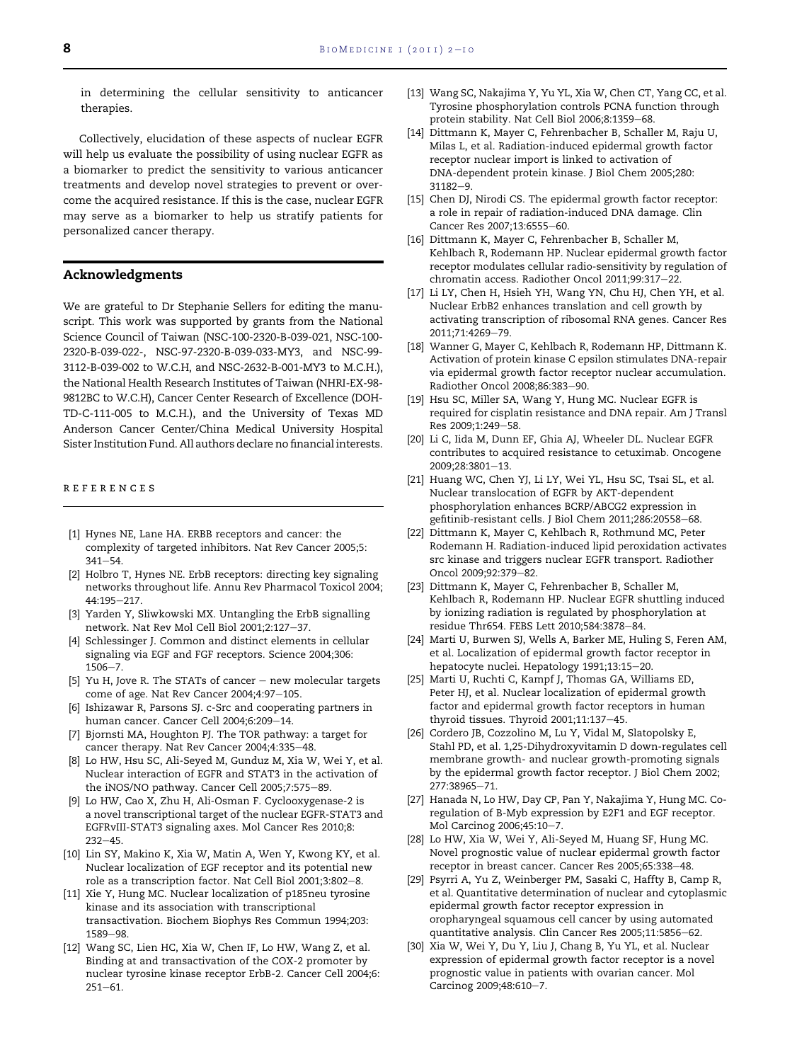<span id="page-6-0"></span>in determining the cellular sensitivity to anticancer therapies.

Collectively, elucidation of these aspects of nuclear EGFR will help us evaluate the possibility of using nuclear EGFR as a biomarker to predict the sensitivity to various anticancer treatments and develop novel strategies to prevent or overcome the acquired resistance. If this is the case, nuclear EGFR may serve as a biomarker to help us stratify patients for personalized cancer therapy.

#### Acknowledgments

We are grateful to Dr Stephanie Sellers for editing the manuscript. This work was supported by grants from the National Science Council of Taiwan (NSC-100-2320-B-039-021, NSC-100- 2320-B-039-022-, NSC-97-2320-B-039-033-MY3, and NSC-99- 3112-B-039-002 to W.C.H, and NSC-2632-B-001-MY3 to M.C.H.), the National Health Research Institutes of Taiwan (NHRI-EX-98- 9812BC to W.C.H), Cancer Center Research of Excellence (DOH-TD-C-111-005 to M.C.H.), and the University of Texas MD Anderson Cancer Center/China Medical University Hospital Sister Institution Fund. All authors declare no financial interests.

#### references

- [1] Hynes NE, Lane HA. ERBB receptors and cancer: the complexity of targeted inhibitors. Nat Rev Cancer 2005;5:  $341 - 54.$
- [2] Holbro T, Hynes NE. ErbB receptors: directing key signaling networks throughout life. Annu Rev Pharmacol Toxicol 2004; 44:195-217.
- [3] Yarden Y, Sliwkowski MX. Untangling the ErbB signalling network. Nat Rev Mol Cell Biol 2001;2:127-37.
- [4] Schlessinger J. Common and distinct elements in cellular signaling via EGF and FGF receptors. Science 2004;306:  $1506 - 7$ .
- [5] Yu H, Jove R. The STATs of cancer  $-$  new molecular targets come of age. Nat Rev Cancer 2004;4:97-105.
- [6] Ishizawar R, Parsons SJ. c-Src and cooperating partners in human cancer. Cancer Cell 2004;6:209-14.
- [7] Bjornsti MA, Houghton PJ. The TOR pathway: a target for cancer therapy. Nat Rev Cancer 2004;4:335-48.
- [8] Lo HW, Hsu SC, Ali-Seyed M, Gunduz M, Xia W, Wei Y, et al. Nuclear interaction of EGFR and STAT3 in the activation of the iNOS/NO pathway. Cancer Cell 2005;7:575-89.
- [9] Lo HW, Cao X, Zhu H, Ali-Osman F. Cyclooxygenase-2 is a novel transcriptional target of the nuclear EGFR-STAT3 and EGFRvIII-STAT3 signaling axes. Mol Cancer Res 2010;8:  $232 - 45$ .
- [10] Lin SY, Makino K, Xia W, Matin A, Wen Y, Kwong KY, et al. Nuclear localization of EGF receptor and its potential new role as a transcription factor. Nat Cell Biol 2001;3:802-8.
- [11] Xie Y, Hung MC. Nuclear localization of p185neu tyrosine kinase and its association with transcriptional transactivation. Biochem Biophys Res Commun 1994;203: 1589-98.
- [12] Wang SC, Lien HC, Xia W, Chen IF, Lo HW, Wang Z, et al. Binding at and transactivation of the COX-2 promoter by nuclear tyrosine kinase receptor ErbB-2. Cancer Cell 2004;6:  $251 - 61.$
- [13] Wang SC, Nakajima Y, Yu YL, Xia W, Chen CT, Yang CC, et al. Tyrosine phosphorylation controls PCNA function through protein stability. Nat Cell Biol 2006;8:1359-68.
- [14] Dittmann K, Mayer C, Fehrenbacher B, Schaller M, Raju U, Milas L, et al. Radiation-induced epidermal growth factor receptor nuclear import is linked to activation of DNA-dependent protein kinase. J Biol Chem 2005;280:  $31182 - 9$ .
- [15] Chen DJ, Nirodi CS. The epidermal growth factor receptor: a role in repair of radiation-induced DNA damage. Clin Cancer Res 2007;13:6555-60.
- [16] Dittmann K, Mayer C, Fehrenbacher B, Schaller M, Kehlbach R, Rodemann HP. Nuclear epidermal growth factor receptor modulates cellular radio-sensitivity by regulation of chromatin access. Radiother Oncol 2011;99:317-22.
- [17] Li LY, Chen H, Hsieh YH, Wang YN, Chu HJ, Chen YH, et al. Nuclear ErbB2 enhances translation and cell growth by activating transcription of ribosomal RNA genes. Cancer Res 2011;71:4269-79.
- [18] Wanner G, Mayer C, Kehlbach R, Rodemann HP, Dittmann K. Activation of protein kinase C epsilon stimulates DNA-repair via epidermal growth factor receptor nuclear accumulation. Radiother Oncol 2008;86:383-90.
- [19] Hsu SC, Miller SA, Wang Y, Hung MC. Nuclear EGFR is required for cisplatin resistance and DNA repair. Am J Transl Res 2009;1:249-58.
- [20] Li C, Iida M, Dunn EF, Ghia AJ, Wheeler DL. Nuclear EGFR contributes to acquired resistance to cetuximab. Oncogene 2009;28:3801-13.
- [21] Huang WC, Chen YJ, Li LY, Wei YL, Hsu SC, Tsai SL, et al. Nuclear translocation of EGFR by AKT-dependent phosphorylation enhances BCRP/ABCG2 expression in gefitinib-resistant cells. J Biol Chem 2011;286:20558-68.
- [22] Dittmann K, Mayer C, Kehlbach R, Rothmund MC, Peter Rodemann H. Radiation-induced lipid peroxidation activates src kinase and triggers nuclear EGFR transport. Radiother Oncol 2009;92:379-82.
- [23] Dittmann K, Mayer C, Fehrenbacher B, Schaller M, Kehlbach R, Rodemann HP. Nuclear EGFR shuttling induced by ionizing radiation is regulated by phosphorylation at residue Thr654. FEBS Lett 2010;584:3878-84.
- [24] Marti U, Burwen SJ, Wells A, Barker ME, Huling S, Feren AM, et al. Localization of epidermal growth factor receptor in hepatocyte nuclei. Hepatology 1991;13:15-20.
- [25] Marti U, Ruchti C, Kampf J, Thomas GA, Williams ED, Peter HJ, et al. Nuclear localization of epidermal growth factor and epidermal growth factor receptors in human thyroid tissues. Thyroid  $2001;11:137-45$ .
- [26] Cordero JB, Cozzolino M, Lu Y, Vidal M, Slatopolsky E, Stahl PD, et al. 1,25-Dihydroxyvitamin D down-regulates cell membrane growth- and nuclear growth-promoting signals by the epidermal growth factor receptor. J Biol Chem 2002; 277:38965-71.
- [27] Hanada N, Lo HW, Day CP, Pan Y, Nakajima Y, Hung MC. Coregulation of B-Myb expression by E2F1 and EGF receptor. Mol Carcinog 2006;45:10-7.
- [28] Lo HW, Xia W, Wei Y, Ali-Seyed M, Huang SF, Hung MC. Novel prognostic value of nuclear epidermal growth factor receptor in breast cancer. Cancer Res 2005;65:338-48.
- [29] Psyrri A, Yu Z, Weinberger PM, Sasaki C, Haffty B, Camp R, et al. Quantitative determination of nuclear and cytoplasmic epidermal growth factor receptor expression in oropharyngeal squamous cell cancer by using automated quantitative analysis. Clin Cancer Res 2005;11:5856-62.
- [30] Xia W, Wei Y, Du Y, Liu J, Chang B, Yu YL, et al. Nuclear expression of epidermal growth factor receptor is a novel prognostic value in patients with ovarian cancer. Mol Carcinog 2009;48:610-7.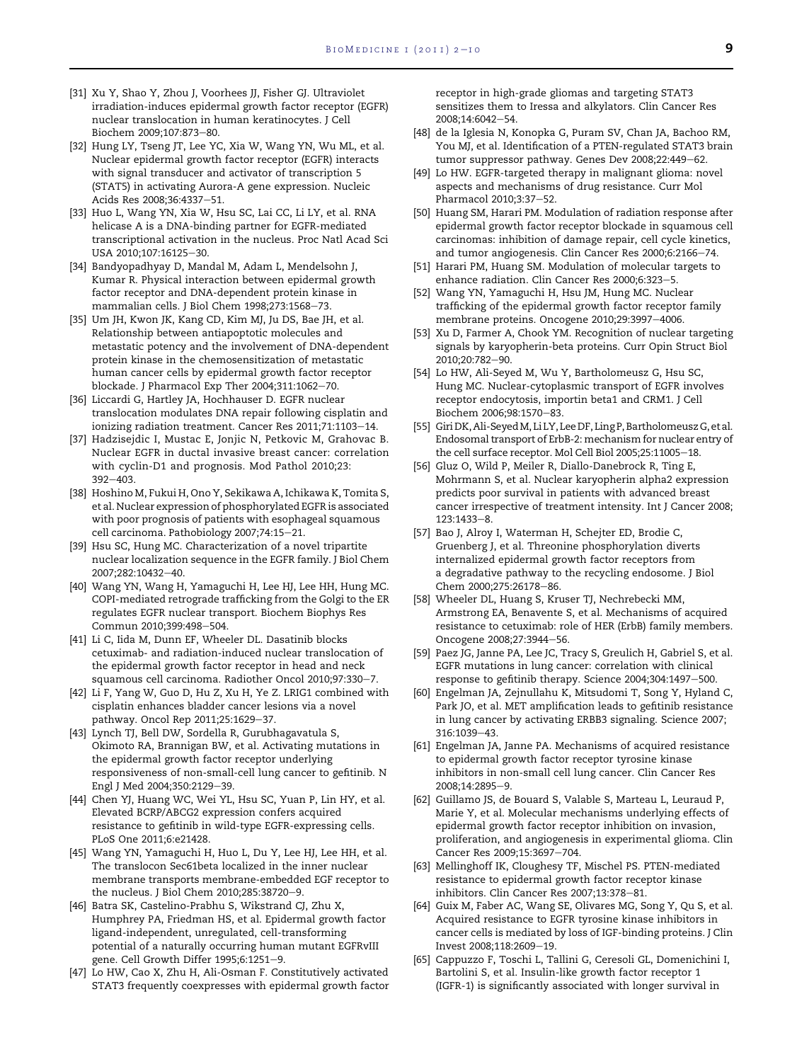- <span id="page-7-0"></span>[31] Xu Y, Shao Y, Zhou J, Voorhees JJ, Fisher GJ. Ultraviolet irradiation-induces epidermal growth factor receptor (EGFR) nuclear translocation in human keratinocytes. J Cell Biochem 2009;107:873-80.
- [32] Hung LY, Tseng JT, Lee YC, Xia W, Wang YN, Wu ML, et al. Nuclear epidermal growth factor receptor (EGFR) interacts with signal transducer and activator of transcription 5 (STAT5) in activating Aurora-A gene expression. Nucleic Acids Res 2008;36:4337-51.
- [33] Huo L, Wang YN, Xia W, Hsu SC, Lai CC, Li LY, et al. RNA helicase A is a DNA-binding partner for EGFR-mediated transcriptional activation in the nucleus. Proc Natl Acad Sci USA 2010;107:16125-30.
- [34] Bandyopadhyay D, Mandal M, Adam L, Mendelsohn J, Kumar R. Physical interaction between epidermal growth factor receptor and DNA-dependent protein kinase in mammalian cells. J Biol Chem 1998;273:1568-73.
- [35] Um JH, Kwon JK, Kang CD, Kim MJ, Ju DS, Bae JH, et al. Relationship between antiapoptotic molecules and metastatic potency and the involvement of DNA-dependent protein kinase in the chemosensitization of metastatic human cancer cells by epidermal growth factor receptor blockade. J Pharmacol Exp Ther  $2004;311:1062-70$ .
- [36] Liccardi G, Hartley JA, Hochhauser D. EGFR nuclear translocation modulates DNA repair following cisplatin and ionizing radiation treatment. Cancer Res 2011;71:1103-14.
- [37] Hadzisejdic I, Mustac E, Jonjic N, Petkovic M, Grahovac B. Nuclear EGFR in ductal invasive breast cancer: correlation with cyclin-D1 and prognosis. Mod Pathol 2010;23:  $392 - 403$ .
- [38] Hoshino M, Fukui H, Ono Y, Sekikawa A, Ichikawa K, Tomita S, et al. Nuclear expression of phosphorylated EGFR is associated with poor prognosis of patients with esophageal squamous cell carcinoma. Pathobiology 2007;74:15-21.
- [39] Hsu SC, Hung MC. Characterization of a novel tripartite nuclear localization sequence in the EGFR family. J Biol Chem 2007;282:10432-40.
- [40] Wang YN, Wang H, Yamaguchi H, Lee HJ, Lee HH, Hung MC. COPI-mediated retrograde trafficking from the Golgi to the ER regulates EGFR nuclear transport. Biochem Biophys Res Commun 2010;399:498-504.
- [41] Li C, Iida M, Dunn EF, Wheeler DL. Dasatinib blocks cetuximab- and radiation-induced nuclear translocation of the epidermal growth factor receptor in head and neck squamous cell carcinoma. Radiother Oncol 2010;97:330-7.
- [42] Li F, Yang W, Guo D, Hu Z, Xu H, Ye Z. LRIG1 combined with cisplatin enhances bladder cancer lesions via a novel pathway. Oncol Rep 2011;25:1629-37.
- [43] Lynch TJ, Bell DW, Sordella R, Gurubhagavatula S, Okimoto RA, Brannigan BW, et al. Activating mutations in the epidermal growth factor receptor underlying responsiveness of non-small-cell lung cancer to gefitinib. N Engl J Med 2004;350:2129-39.
- [44] Chen YJ, Huang WC, Wei YL, Hsu SC, Yuan P, Lin HY, et al. Elevated BCRP/ABCG2 expression confers acquired resistance to gefitinib in wild-type EGFR-expressing cells. PLoS One 2011;6:e21428.
- [45] Wang YN, Yamaguchi H, Huo L, Du Y, Lee HJ, Lee HH, et al. The translocon Sec61beta localized in the inner nuclear membrane transports membrane-embedded EGF receptor to the nucleus. J Biol Chem 2010;285:38720-9.
- [46] Batra SK, Castelino-Prabhu S, Wikstrand CJ, Zhu X, Humphrey PA, Friedman HS, et al. Epidermal growth factor ligand-independent, unregulated, cell-transforming potential of a naturally occurring human mutant EGFRvIII gene. Cell Growth Differ 1995;6:1251-9.
- [47] Lo HW, Cao X, Zhu H, Ali-Osman F. Constitutively activated STAT3 frequently coexpresses with epidermal growth factor

receptor in high-grade gliomas and targeting STAT3 sensitizes them to Iressa and alkylators. Clin Cancer Res 2008:14:6042-54.

- [48] de la Iglesia N, Konopka G, Puram SV, Chan JA, Bachoo RM, You MJ, et al. Identification of a PTEN-regulated STAT3 brain tumor suppressor pathway. Genes Dev 2008;22:449-62.
- [49] Lo HW. EGFR-targeted therapy in malignant glioma: novel aspects and mechanisms of drug resistance. Curr Mol Pharmacol 2010;3:37-52.
- [50] Huang SM, Harari PM. Modulation of radiation response after epidermal growth factor receptor blockade in squamous cell carcinomas: inhibition of damage repair, cell cycle kinetics, and tumor angiogenesis. Clin Cancer Res 2000;6:2166-74.
- [51] Harari PM, Huang SM. Modulation of molecular targets to enhance radiation. Clin Cancer Res 2000;6:323-5.
- [52] Wang YN, Yamaguchi H, Hsu JM, Hung MC. Nuclear trafficking of the epidermal growth factor receptor family membrane proteins. Oncogene 2010;29:3997-4006.
- [53] Xu D, Farmer A, Chook YM. Recognition of nuclear targeting signals by karyopherin-beta proteins. Curr Opin Struct Biol 2010;20:782-90.
- [54] Lo HW, Ali-Seyed M, Wu Y, Bartholomeusz G, Hsu SC, Hung MC. Nuclear-cytoplasmic transport of EGFR involves receptor endocytosis, importin beta1 and CRM1. J Cell Biochem 2006;98:1570-83.
- [55] Giri DK, Ali-SeyedM, Li LY, Lee DF, Ling P, Bartholomeusz G, et al. Endosomal transport of ErbB-2: mechanism for nuclear entry of the cell surface receptor. Mol Cell Biol 2005;25:11005-18.
- [56] Gluz O, Wild P, Meiler R, Diallo-Danebrock R, Ting E, Mohrmann S, et al. Nuclear karyopherin alpha2 expression predicts poor survival in patients with advanced breast cancer irrespective of treatment intensity. Int J Cancer 2008; 123:1433-8.
- [57] Bao J, Alroy I, Waterman H, Schejter ED, Brodie C, Gruenberg J, et al. Threonine phosphorylation diverts internalized epidermal growth factor receptors from a degradative pathway to the recycling endosome. J Biol Chem 2000;275:26178-86.
- [58] Wheeler DL, Huang S, Kruser TJ, Nechrebecki MM, Armstrong EA, Benavente S, et al. Mechanisms of acquired resistance to cetuximab: role of HER (ErbB) family members. Oncogene 2008;27:3944-56.
- [59] Paez JG, Janne PA, Lee JC, Tracy S, Greulich H, Gabriel S, et al. EGFR mutations in lung cancer: correlation with clinical response to gefitinib therapy. Science 2004;304:1497-500.
- [60] Engelman JA, Zejnullahu K, Mitsudomi T, Song Y, Hyland C, Park JO, et al. MET amplification leads to gefitinib resistance in lung cancer by activating ERBB3 signaling. Science 2007; 316:1039-43.
- [61] Engelman JA, Janne PA. Mechanisms of acquired resistance to epidermal growth factor receptor tyrosine kinase inhibitors in non-small cell lung cancer. Clin Cancer Res 2008;14:2895-9.
- [62] Guillamo JS, de Bouard S, Valable S, Marteau L, Leuraud P, Marie Y, et al. Molecular mechanisms underlying effects of epidermal growth factor receptor inhibition on invasion, proliferation, and angiogenesis in experimental glioma. Clin Cancer Res 2009;15:3697-704.
- [63] Mellinghoff IK, Cloughesy TF, Mischel PS. PTEN-mediated resistance to epidermal growth factor receptor kinase inhibitors. Clin Cancer Res 2007;13:378-81.
- [64] Guix M, Faber AC, Wang SE, Olivares MG, Song Y, Qu S, et al. Acquired resistance to EGFR tyrosine kinase inhibitors in cancer cells is mediated by loss of IGF-binding proteins. J Clin Invest 2008;118:2609-19.
- [65] Cappuzzo F, Toschi L, Tallini G, Ceresoli GL, Domenichini I, Bartolini S, et al. Insulin-like growth factor receptor 1 (IGFR-1) is significantly associated with longer survival in